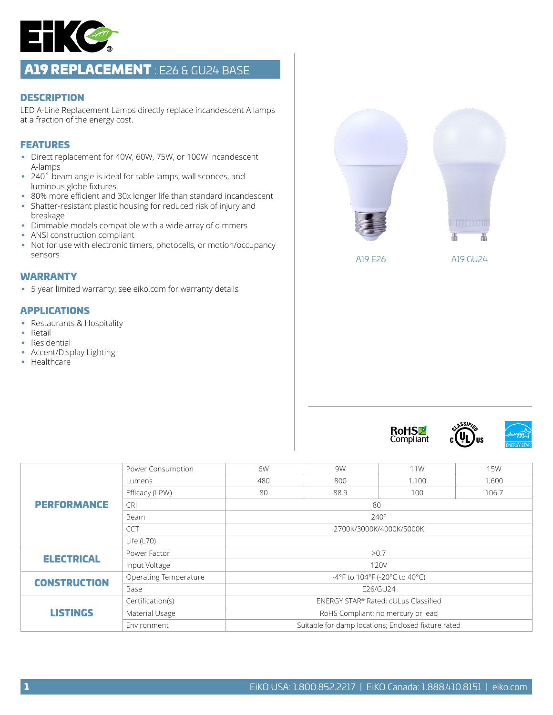

# A19 REPLACEMENT : E26 & GU24 BASE

#### **DESCRIPTION**

LED A-Line Replacement Lamps directly replace incandescent A lamps at a fraction of the energy cost.

## FEATURES

- Direct replacement for 40W, 60W, 75W, or 100W incandescent A-lamps
- 240° beam angle is ideal for table lamps, wall sconces, and luminous globe fixtures
- 80% more efficient and 30x longer life than standard incandescent
- Shatter-resistant plastic housing for reduced risk of injury and breakage
- Dimmable models compatible with a wide array of dimmers
- ANSI construction compliant
- Not for use with electronic timers, photocells, or motion/occupancy sensors

#### WARRANTY

• 5 year limited warranty; see eiko.com for warranty details

#### APPLICATIONS

- Restaurants & Hospitality
- Retail
- Residential
- Accent/Display Lighting
- Healthcare









|                     | Power Consumption     | 6W                                                  | 9W  | 11W | <b>15W</b> |  |  |  |  |  |  |
|---------------------|-----------------------|-----------------------------------------------------|-----|-----|------------|--|--|--|--|--|--|
| <b>PERFORMANCE</b>  | Lumens                | 480                                                 | 800 |     | 1,600      |  |  |  |  |  |  |
|                     | Efficacy (LPW)        | 80<br>88.9                                          |     | 100 | 106.7      |  |  |  |  |  |  |
|                     | <b>CRI</b>            | $80+$                                               |     |     |            |  |  |  |  |  |  |
|                     | Beam                  | $240^\circ$                                         |     |     |            |  |  |  |  |  |  |
|                     | <b>CCT</b>            | 2700K/3000K/4000K/5000K                             |     |     |            |  |  |  |  |  |  |
|                     | Life $(L70)$          |                                                     |     |     |            |  |  |  |  |  |  |
| <b>ELECTRICAL</b>   | Power Factor          | >0.7                                                |     |     |            |  |  |  |  |  |  |
|                     | Input Voltage         | 120V                                                |     |     |            |  |  |  |  |  |  |
| <b>CONSTRUCTION</b> | Operating Temperature | -4°F to 104°F (-20°C to 40°C)                       |     |     |            |  |  |  |  |  |  |
|                     | Base                  | E26/GU24                                            |     |     |            |  |  |  |  |  |  |
| <b>LISTINGS</b>     | Certification(s)      | ENERGY STAR® Rated; cULus Classified                |     |     |            |  |  |  |  |  |  |
|                     | Material Usage        | RoHS Compliant; no mercury or lead                  |     |     |            |  |  |  |  |  |  |
|                     | Environment           | Suitable for damp locations; Enclosed fixture rated |     |     |            |  |  |  |  |  |  |